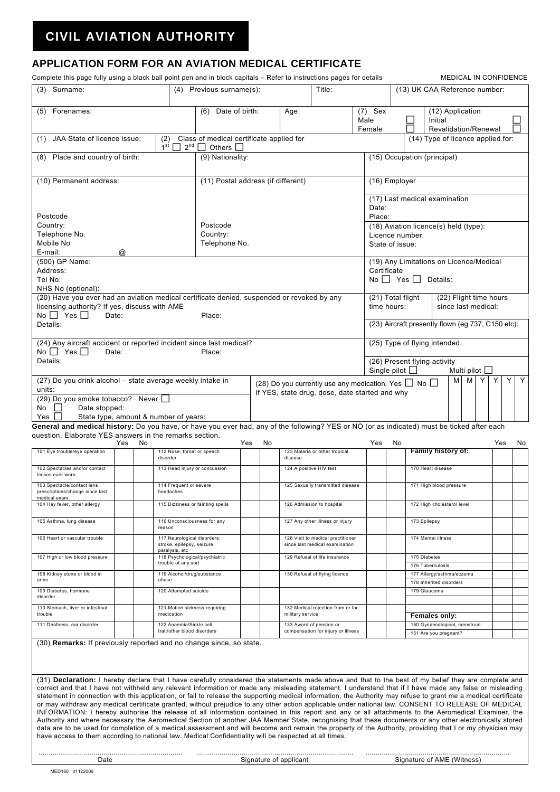## **CIVIL AVIATION AUTHORITY**

## **APPLICATION FORM FOR AN AVIATION MEDICAL CERTIFICATE**

Complete this page fully using a black ball point pen and in block capitals – Refer to instructions pages for details MEDICAL IN CONFIDENCE

| (3) Surname:                                                                                                                                                                                                                                                                                                                                                                                                                                                                                                                                                                                                                                                                                                                                                                                                                                                                                                                                                  |                                    | (4)                                                                                        | Previous surname(s):                                         |                               |    |                                                               | Title:                                                                            |                                                      |                                                        | (13) UK CAA Reference number: |                                                           |                                  |  |  |     |    |  |
|---------------------------------------------------------------------------------------------------------------------------------------------------------------------------------------------------------------------------------------------------------------------------------------------------------------------------------------------------------------------------------------------------------------------------------------------------------------------------------------------------------------------------------------------------------------------------------------------------------------------------------------------------------------------------------------------------------------------------------------------------------------------------------------------------------------------------------------------------------------------------------------------------------------------------------------------------------------|------------------------------------|--------------------------------------------------------------------------------------------|--------------------------------------------------------------|-------------------------------|----|---------------------------------------------------------------|-----------------------------------------------------------------------------------|------------------------------------------------------|--------------------------------------------------------|-------------------------------|-----------------------------------------------------------|----------------------------------|--|--|-----|----|--|
| (5) Forenames:                                                                                                                                                                                                                                                                                                                                                                                                                                                                                                                                                                                                                                                                                                                                                                                                                                                                                                                                                |                                    |                                                                                            |                                                              | Date of birth:<br>(6)<br>Age: |    |                                                               | $(7)$ Sex<br>Male                                                                 |                                                      |                                                        | (12) Application<br>Initial   |                                                           |                                  |  |  |     |    |  |
|                                                                                                                                                                                                                                                                                                                                                                                                                                                                                                                                                                                                                                                                                                                                                                                                                                                                                                                                                               |                                    |                                                                                            |                                                              |                               |    |                                                               | Female                                                                            |                                                      |                                                        |                               | Revalidation/Renewal<br>(14) Type of licence applied for: |                                  |  |  |     |    |  |
| JAA State of licence issue:<br>(2)<br>(1)<br>$1^{\rm st} \Box$<br>$2^{nd}$                                                                                                                                                                                                                                                                                                                                                                                                                                                                                                                                                                                                                                                                                                                                                                                                                                                                                    |                                    |                                                                                            | Class of medical certificate applied for<br>Others $\square$ |                               |    |                                                               |                                                                                   |                                                      |                                                        |                               |                                                           |                                  |  |  |     |    |  |
| (8) Place and country of birth:                                                                                                                                                                                                                                                                                                                                                                                                                                                                                                                                                                                                                                                                                                                                                                                                                                                                                                                               | (9) Nationality:                   |                                                                                            |                                                              |                               |    |                                                               | (15) Occupation (principal)                                                       |                                                      |                                                        |                               |                                                           |                                  |  |  |     |    |  |
| (10) Permanent address:                                                                                                                                                                                                                                                                                                                                                                                                                                                                                                                                                                                                                                                                                                                                                                                                                                                                                                                                       | (11) Postal address (if different) |                                                                                            |                                                              |                               |    |                                                               | (16) Employer                                                                     |                                                      |                                                        |                               |                                                           |                                  |  |  |     |    |  |
| Postcode                                                                                                                                                                                                                                                                                                                                                                                                                                                                                                                                                                                                                                                                                                                                                                                                                                                                                                                                                      |                                    |                                                                                            |                                                              |                               |    |                                                               | (17) Last medical examination<br>Date:<br>Place:                                  |                                                      |                                                        |                               |                                                           |                                  |  |  |     |    |  |
| Country:                                                                                                                                                                                                                                                                                                                                                                                                                                                                                                                                                                                                                                                                                                                                                                                                                                                                                                                                                      | Postcode                           |                                                                                            |                                                              |                               |    |                                                               | (18) Aviation licence(s) held (type):                                             |                                                      |                                                        |                               |                                                           |                                  |  |  |     |    |  |
| Telephone No.<br>Mobile No                                                                                                                                                                                                                                                                                                                                                                                                                                                                                                                                                                                                                                                                                                                                                                                                                                                                                                                                    | Country:<br>Telephone No.          |                                                                                            |                                                              |                               |    |                                                               | Licence number:<br>State of issue:                                                |                                                      |                                                        |                               |                                                           |                                  |  |  |     |    |  |
| E-mail:                                                                                                                                                                                                                                                                                                                                                                                                                                                                                                                                                                                                                                                                                                                                                                                                                                                                                                                                                       | @                                  |                                                                                            |                                                              |                               |    |                                                               |                                                                                   |                                                      |                                                        |                               |                                                           |                                  |  |  |     |    |  |
| (500) GP Name:                                                                                                                                                                                                                                                                                                                                                                                                                                                                                                                                                                                                                                                                                                                                                                                                                                                                                                                                                |                                    |                                                                                            |                                                              |                               |    |                                                               |                                                                                   |                                                      | (19) Any Limitations on Licence/Medical<br>Certificate |                               |                                                           |                                  |  |  |     |    |  |
| Address:<br>Tel No:                                                                                                                                                                                                                                                                                                                                                                                                                                                                                                                                                                                                                                                                                                                                                                                                                                                                                                                                           |                                    |                                                                                            |                                                              |                               |    |                                                               |                                                                                   |                                                      | No $\Box$ Yes $\Box$<br>Details:                       |                               |                                                           |                                  |  |  |     |    |  |
| NHS No (optional):                                                                                                                                                                                                                                                                                                                                                                                                                                                                                                                                                                                                                                                                                                                                                                                                                                                                                                                                            |                                    |                                                                                            |                                                              |                               |    |                                                               |                                                                                   |                                                      |                                                        |                               |                                                           |                                  |  |  |     |    |  |
| licensing authority? If yes, discuss with AME<br>No $\Box$ Yes $\Box$<br>Date:                                                                                                                                                                                                                                                                                                                                                                                                                                                                                                                                                                                                                                                                                                                                                                                                                                                                                | Place:                             | (20) Have you ever had an aviation medical certificate denied, suspended or revoked by any |                                                              |                               |    |                                                               | (21) Total flight<br>(22) Flight time hours<br>time hours:<br>since last medical: |                                                      |                                                        |                               |                                                           |                                  |  |  |     |    |  |
| Details:                                                                                                                                                                                                                                                                                                                                                                                                                                                                                                                                                                                                                                                                                                                                                                                                                                                                                                                                                      |                                    |                                                                                            |                                                              |                               |    | (23) Aircraft presently flown (eg 737, C150 etc):             |                                                                                   |                                                      |                                                        |                               |                                                           |                                  |  |  |     |    |  |
| (24) Any aircraft accident or reported incident since last medical?<br>No $\Box$ Yes $\Box$<br>Date:<br>Place:                                                                                                                                                                                                                                                                                                                                                                                                                                                                                                                                                                                                                                                                                                                                                                                                                                                |                                    |                                                                                            |                                                              |                               |    |                                                               |                                                                                   |                                                      | (25) Type of flying intended:                          |                               |                                                           |                                  |  |  |     |    |  |
| Details:<br>(26) Present flying activity<br>Multi pilot $\Box$<br>Single pilot                                                                                                                                                                                                                                                                                                                                                                                                                                                                                                                                                                                                                                                                                                                                                                                                                                                                                |                                    |                                                                                            |                                                              |                               |    |                                                               |                                                                                   |                                                      |                                                        |                               |                                                           |                                  |  |  |     |    |  |
| (27) Do you drink alcohol - state average weekly intake in<br>Y<br>M Y<br>Y<br>м<br>(28) Do you currently use any medication. Yes $\Box$ No $\Box$                                                                                                                                                                                                                                                                                                                                                                                                                                                                                                                                                                                                                                                                                                                                                                                                            |                                    |                                                                                            |                                                              |                               |    |                                                               |                                                                                   |                                                      |                                                        | Y                             |                                                           |                                  |  |  |     |    |  |
| units:<br>If YES, state drug, dose, date started and why<br>(29) Do you smoke tobacco? Never $\Box$                                                                                                                                                                                                                                                                                                                                                                                                                                                                                                                                                                                                                                                                                                                                                                                                                                                           |                                    |                                                                                            |                                                              |                               |    |                                                               |                                                                                   |                                                      |                                                        |                               |                                                           |                                  |  |  |     |    |  |
| Date stopped:<br>No<br>$\mathbf{I}$<br>State type, amount & number of years:                                                                                                                                                                                                                                                                                                                                                                                                                                                                                                                                                                                                                                                                                                                                                                                                                                                                                  |                                    |                                                                                            |                                                              |                               |    |                                                               |                                                                                   |                                                      |                                                        |                               |                                                           |                                  |  |  |     |    |  |
| Yes<br>General and medical history: Do you have, or have you ever had, any of the following? YES or NO (or as indicated) must be ticked after each                                                                                                                                                                                                                                                                                                                                                                                                                                                                                                                                                                                                                                                                                                                                                                                                            |                                    |                                                                                            |                                                              |                               |    |                                                               |                                                                                   |                                                      |                                                        |                               |                                                           |                                  |  |  |     |    |  |
| question. Elaborate YES answers in the remarks section.                                                                                                                                                                                                                                                                                                                                                                                                                                                                                                                                                                                                                                                                                                                                                                                                                                                                                                       | No                                 |                                                                                            |                                                              |                               |    |                                                               |                                                                                   |                                                      |                                                        |                               |                                                           |                                  |  |  |     |    |  |
| 101 Eye trouble/eye operation                                                                                                                                                                                                                                                                                                                                                                                                                                                                                                                                                                                                                                                                                                                                                                                                                                                                                                                                 | Yes                                | 112 Nose, throat or speech<br>disorder                                                     |                                                              | Yes                           | No | disease                                                       | 123 Malaria or other tropical                                                     | Yes                                                  | No                                                     |                               | Family history of:                                        |                                  |  |  | Yes | No |  |
| 102 Spectacles and/or contact<br>lenses ever worn                                                                                                                                                                                                                                                                                                                                                                                                                                                                                                                                                                                                                                                                                                                                                                                                                                                                                                             |                                    | 113 Head injury or concussion                                                              |                                                              |                               |    |                                                               | 124 A positive HIV test                                                           |                                                      |                                                        | 170 Heart disease             |                                                           |                                  |  |  |     |    |  |
| 103 Spectacle/contact lens<br>prescriptions/change since last<br>medical exam                                                                                                                                                                                                                                                                                                                                                                                                                                                                                                                                                                                                                                                                                                                                                                                                                                                                                 |                                    | 114 Frequent or severe<br>headaches                                                        |                                                              |                               |    |                                                               | 125 Sexually transmitted disease                                                  |                                                      |                                                        | 171 High blood pressure       |                                                           |                                  |  |  |     |    |  |
| 104 Hay fever, other allerg                                                                                                                                                                                                                                                                                                                                                                                                                                                                                                                                                                                                                                                                                                                                                                                                                                                                                                                                   |                                    | 115 Dizziness or fainting spells                                                           |                                                              |                               |    | 126 Admission to hospital                                     |                                                                                   |                                                      |                                                        | 172 High cholesterol leve     |                                                           |                                  |  |  |     |    |  |
| 105 Asthma, lung disease                                                                                                                                                                                                                                                                                                                                                                                                                                                                                                                                                                                                                                                                                                                                                                                                                                                                                                                                      |                                    | 116 Unconsciousness for any<br>reason                                                      |                                                              |                               |    |                                                               | 127 Any other illness or injury                                                   |                                                      | 173 Epilepsy                                           |                               |                                                           |                                  |  |  |     |    |  |
| 106 Heart or vascular trouble                                                                                                                                                                                                                                                                                                                                                                                                                                                                                                                                                                                                                                                                                                                                                                                                                                                                                                                                 |                                    | 117 Neurological disorders;<br>stroke, epilepsy, seizure,<br>paralysis, etc                |                                                              |                               |    |                                                               | 128 Visit to medical practitioner<br>since last medical examination               |                                                      |                                                        | 174 Mental illness            |                                                           |                                  |  |  |     |    |  |
| 107 High or low blood pressure                                                                                                                                                                                                                                                                                                                                                                                                                                                                                                                                                                                                                                                                                                                                                                                                                                                                                                                                |                                    | 118 Psychological/psychiatric<br>trouble of any sort                                       |                                                              |                               |    |                                                               | 129 Refusal of life insurance                                                     |                                                      |                                                        |                               |                                                           | 175 Diabetes<br>176 Tuberculosis |  |  |     |    |  |
| 108 Kidney stone or blood in<br>urine                                                                                                                                                                                                                                                                                                                                                                                                                                                                                                                                                                                                                                                                                                                                                                                                                                                                                                                         |                                    | 119 Alcohol/drug/substance<br>abuse                                                        |                                                              |                               |    | 130 Refusal of flying licence                                 |                                                                                   | 177 Allergy/asthma/eczema<br>178 Inherited disorders |                                                        |                               |                                                           |                                  |  |  |     |    |  |
| 109 Diabetes, hormone<br>disorder                                                                                                                                                                                                                                                                                                                                                                                                                                                                                                                                                                                                                                                                                                                                                                                                                                                                                                                             |                                    | 120 Attempted suicide                                                                      |                                                              |                               |    |                                                               |                                                                                   |                                                      |                                                        |                               | 179 Glaucoma                                              |                                  |  |  |     |    |  |
| 110 Stomach, liver or intestinal<br>trouble                                                                                                                                                                                                                                                                                                                                                                                                                                                                                                                                                                                                                                                                                                                                                                                                                                                                                                                   |                                    | 121 Motion sickness requiring<br>medication                                                |                                                              |                               |    | 132 Medical rejection from or for<br>military service         |                                                                                   |                                                      |                                                        | Females only:                 |                                                           |                                  |  |  |     |    |  |
| 111 Deafness, ear disorder                                                                                                                                                                                                                                                                                                                                                                                                                                                                                                                                                                                                                                                                                                                                                                                                                                                                                                                                    |                                    | 122 Anaemia/Sickle cell<br>trait/other blood disorders                                     |                                                              |                               |    | 133 Award of pension or<br>compensation for injury or illness |                                                                                   |                                                      | 150 Gynaecological, menstrual<br>151 Are you pregnant? |                               |                                                           |                                  |  |  |     |    |  |
| (30) Remarks: If previously reported and no change since, so state.                                                                                                                                                                                                                                                                                                                                                                                                                                                                                                                                                                                                                                                                                                                                                                                                                                                                                           |                                    |                                                                                            |                                                              |                               |    |                                                               |                                                                                   |                                                      |                                                        |                               |                                                           |                                  |  |  |     |    |  |
|                                                                                                                                                                                                                                                                                                                                                                                                                                                                                                                                                                                                                                                                                                                                                                                                                                                                                                                                                               |                                    |                                                                                            |                                                              |                               |    |                                                               |                                                                                   |                                                      |                                                        |                               |                                                           |                                  |  |  |     |    |  |
| (31) Declaration: I hereby declare that I have carefully considered the statements made above and that to the best of my belief they are complete and<br>correct and that I have not withheld any relevant information or made any misleading statement. I understand that if I have made any false or misleading<br>statement in connection with this application, or fail to release the supporting medical information, the Authority may refuse to grant me a medical certificate<br>or may withdraw any medical certificate granted, without prejudice to any other action applicable under national law. CONSENT TO RELEASE OF MEDICAL<br>INFORMATION: I hereby authorise the release of all information contained in this report and any or all attachments to the Aeromedical Examiner, the<br>Authority and where necessary the Aeromedical Section of another JAA Member State, recognising that these documents or any other electronically stored |                                    |                                                                                            |                                                              |                               |    |                                                               |                                                                                   |                                                      |                                                        |                               |                                                           |                                  |  |  |     |    |  |
| data are to be used for completion of a medical assessment and will become and remain the property of the Authority, providing that I or my physician may<br>have access to them according to national law. Medical Confidentiality will be respected at all times.                                                                                                                                                                                                                                                                                                                                                                                                                                                                                                                                                                                                                                                                                           |                                    |                                                                                            |                                                              |                               |    |                                                               |                                                                                   |                                                      |                                                        |                               |                                                           |                                  |  |  |     |    |  |